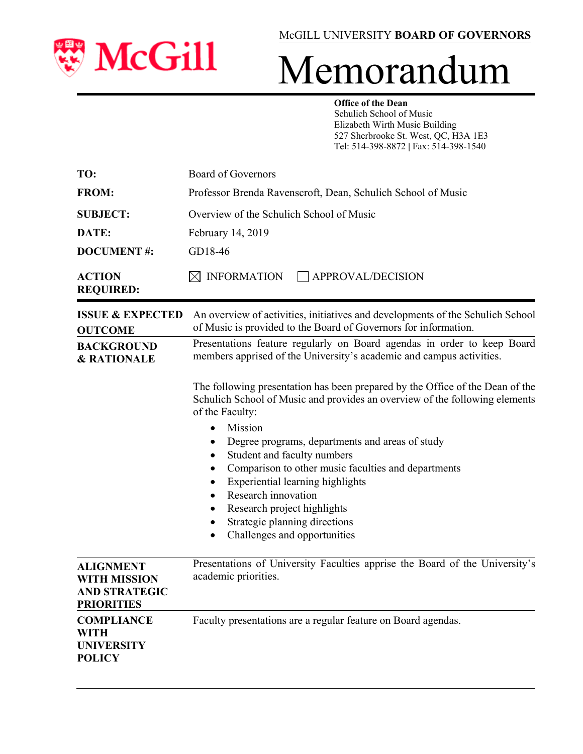

## Memorandum

#### **Office of the Dean**

Schulich School of Music Elizabeth Wirth Music Building 527 Sherbrooke St. West, QC, H3A 1E3 Tel: 514-398-8872 **|** Fax: 514-398-1540

| TO:                               | Board of Governors                                           |  |
|-----------------------------------|--------------------------------------------------------------|--|
| <b>FROM:</b>                      | Professor Brenda Ravenscroft, Dean, Schulich School of Music |  |
| <b>SUBJECT:</b>                   | Overview of the Schulich School of Music                     |  |
| DATE:                             | February 14, 2019                                            |  |
| <b>DOCUMENT#:</b>                 | GD18-46                                                      |  |
| <b>ACTION</b><br><b>REQUIRED:</b> | INFORMATION $\Box$ APPROVAL/DECISION                         |  |

| <b>ISSUE &amp; EXPECTED</b><br><b>OUTCOME</b>                                        | An overview of activities, initiatives and developments of the Schulich School<br>of Music is provided to the Board of Governors for information.                                                                                                                                                                                                                                                                                                                                |  |  |
|--------------------------------------------------------------------------------------|----------------------------------------------------------------------------------------------------------------------------------------------------------------------------------------------------------------------------------------------------------------------------------------------------------------------------------------------------------------------------------------------------------------------------------------------------------------------------------|--|--|
| <b>BACKGROUND</b><br><b>&amp; RATIONALE</b>                                          | Presentations feature regularly on Board agendas in order to keep Board<br>members apprised of the University's academic and campus activities.                                                                                                                                                                                                                                                                                                                                  |  |  |
|                                                                                      | The following presentation has been prepared by the Office of the Dean of the<br>Schulich School of Music and provides an overview of the following elements<br>of the Faculty:<br>Mission<br>$\bullet$<br>Degree programs, departments and areas of study<br>Student and faculty numbers<br>٠<br>Comparison to other music faculties and departments<br>Experiential learning highlights<br>Research innovation<br>Research project highlights<br>Strategic planning directions |  |  |
|                                                                                      | Challenges and opportunities<br>$\bullet$                                                                                                                                                                                                                                                                                                                                                                                                                                        |  |  |
| <b>ALIGNMENT</b><br><b>WITH MISSION</b><br><b>AND STRATEGIC</b><br><b>PRIORITIES</b> | Presentations of University Faculties apprise the Board of the University's<br>academic priorities.                                                                                                                                                                                                                                                                                                                                                                              |  |  |
| <b>COMPLIANCE</b><br><b>WITH</b><br><b>UNIVERSITY</b><br><b>POLICY</b>               | Faculty presentations are a regular feature on Board agendas.                                                                                                                                                                                                                                                                                                                                                                                                                    |  |  |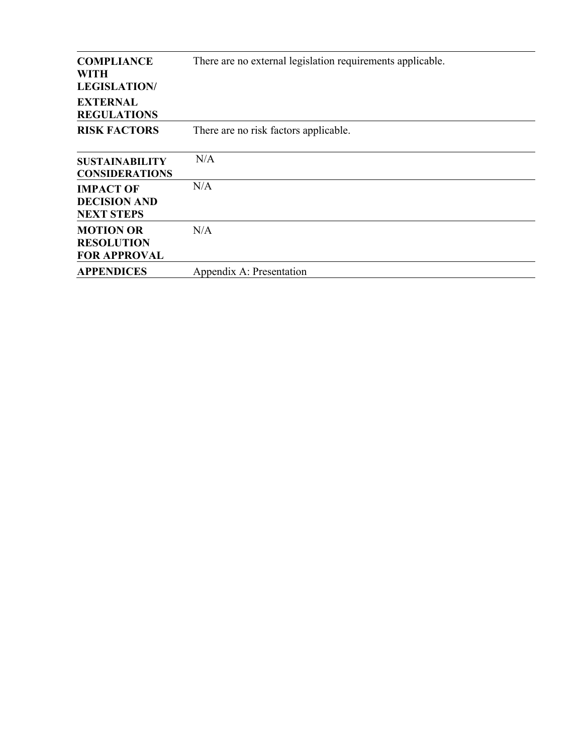| <b>COMPLIANCE</b><br>WITH<br><b>LEGISLATION/</b><br><b>EXTERNAL</b><br><b>REGULATIONS</b> | There are no external legislation requirements applicable. |
|-------------------------------------------------------------------------------------------|------------------------------------------------------------|
| <b>RISK FACTORS</b>                                                                       | There are no risk factors applicable.                      |
| <b>SUSTAINABILITY</b><br><b>CONSIDERATIONS</b>                                            | N/A                                                        |
| <b>IMPACT OF</b><br><b>DECISION AND</b><br><b>NEXT STEPS</b>                              | N/A                                                        |
| <b>MOTION OR</b><br><b>RESOLUTION</b><br><b>FOR APPROVAL</b>                              | N/A                                                        |
| <b>APPENDICES</b>                                                                         | Appendix A: Presentation                                   |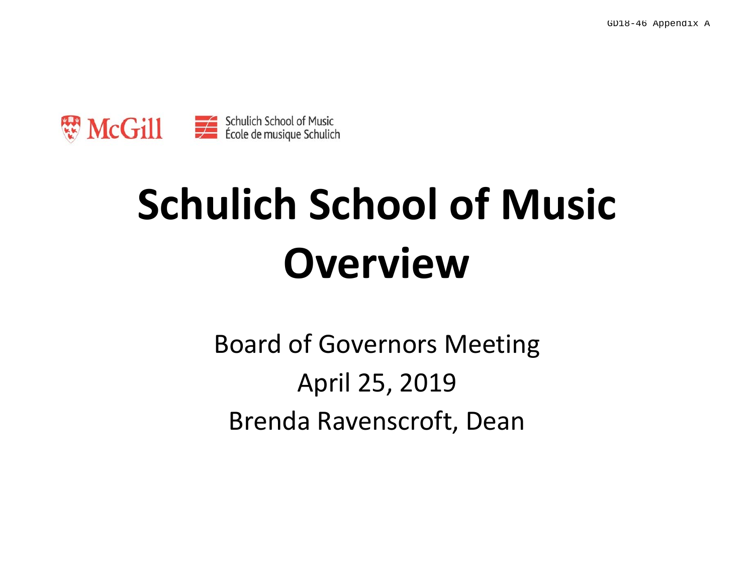

# **Schulich School of Music Overview**

Board of Governors Meeting April 25, 2019 Brenda Ravenscroft, Dean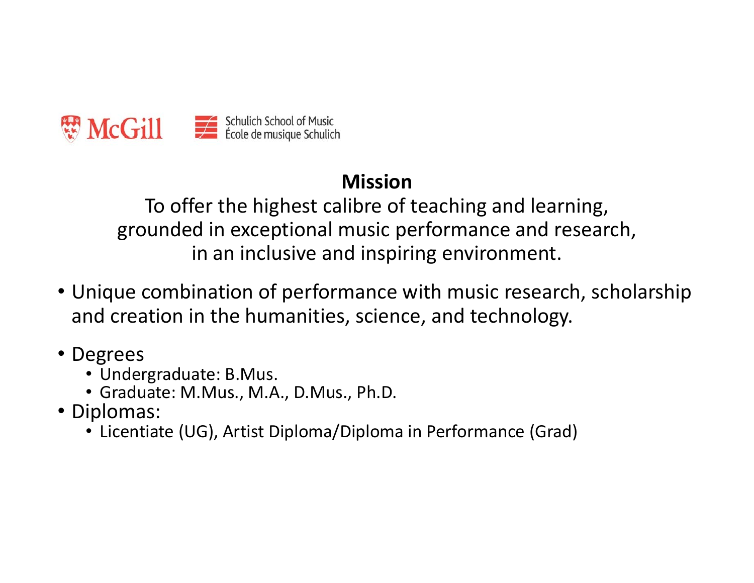

#### **Mission**

To offer the highest calibre of teaching and learning, grounded in exceptional music performance and research, in an inclusive and inspiring environment.

- Unique combination of performance with music research, scholarship and creation in the humanities, science, and technology.
- Degrees
	- Undergraduate: B.Mus.
	- Graduate: M.Mus., M.A., D.Mus., Ph.D.
- Diplomas:
	- Licentiate (UG), Artist Diploma/Diploma in Performance (Grad)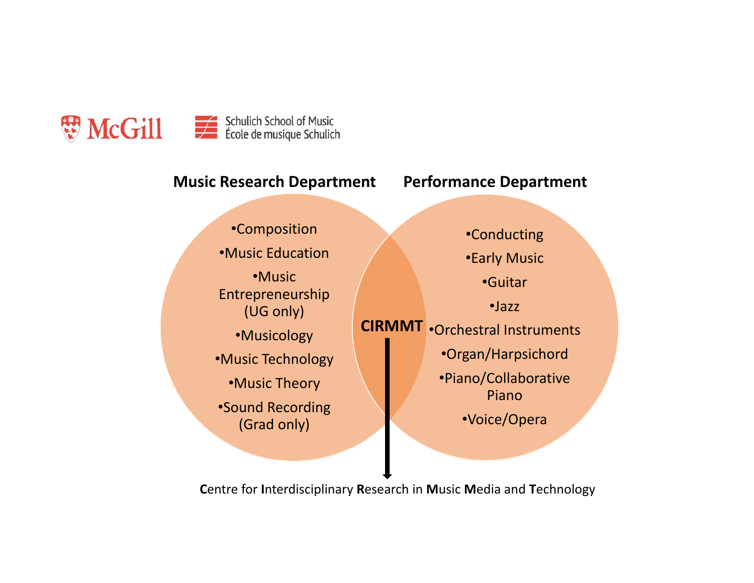

#### •Composition •Music Education•Music Entrepreneurship (UG only) •Musicology •Music Technology •Music Theory •Sound Recording (Grad only) •Conducting •Early Music •Guitar•Jazz•Orchestral Instruments **CIRMMT** •Organ/Harpsichord •Piano/Collaborative Piano•Voice/Opera **Music Research Department Performance Department**

**C**entre for **I**nterdisciplinary **R**esearch in **M**usic **M**edia and **T**echnology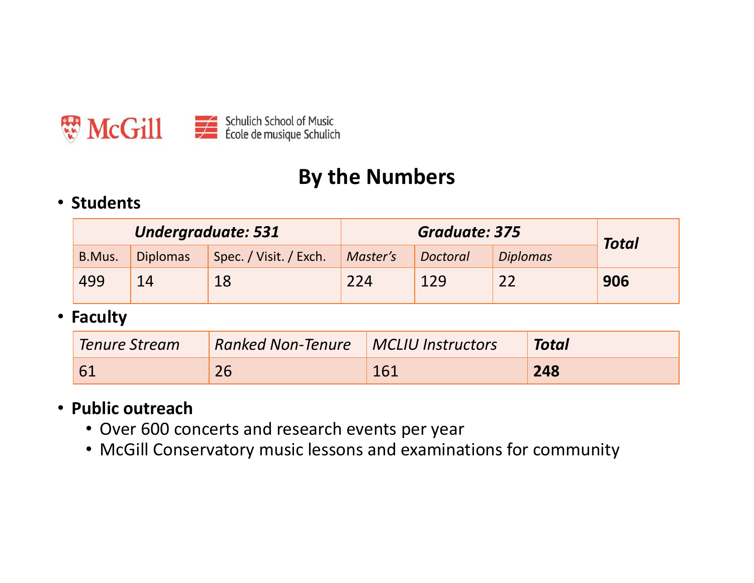

#### **By the Numbers**

#### • **Students**

| <b>Undergraduate: 531</b> |                 | Graduate: 375          |          |          | <b>Total</b>    |     |
|---------------------------|-----------------|------------------------|----------|----------|-----------------|-----|
| B.Mus.                    | <b>Diplomas</b> | Spec. / Visit. / Exch. | Master's | Doctoral | <b>Diplomas</b> |     |
| 499                       |                 | 18                     | 224      | 129      |                 | 906 |

• **Faculty**

| Tenure Stream | <b>Ranked Non-Tenure MCLIU Instructors</b> |     | <b>Total</b> |
|---------------|--------------------------------------------|-----|--------------|
| -61           |                                            | 161 | 248          |

#### • **Public outreach**

- Over 600 concerts and research events per year
- McGill Conservatory music lessons and examinations for community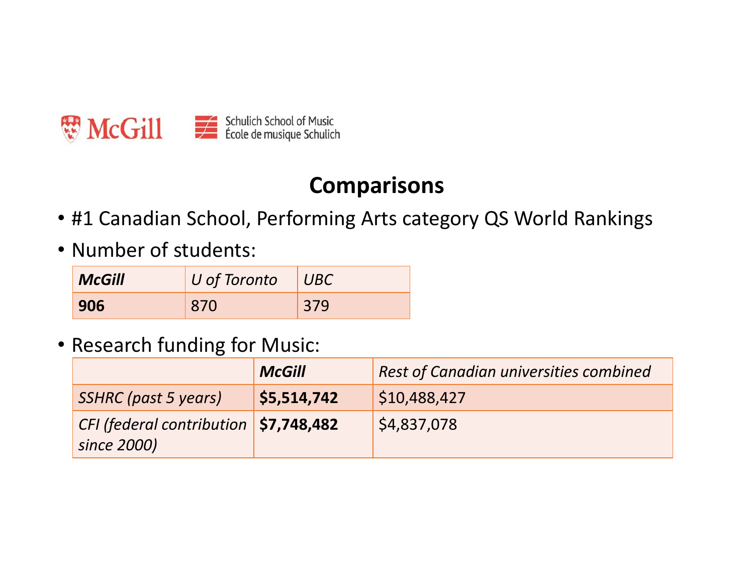

#### **Comparisons**

- #1 Canadian School, Performing Arts category QS World Rankings
- Number of students:

| <b>McGill</b> | U of Toronto | UBC |
|---------------|--------------|-----|
| 906           | 870          | 379 |

#### • Research funding for Music:

|                                                              | <b>McGill</b> | <b>Rest of Canadian universities combined</b> |
|--------------------------------------------------------------|---------------|-----------------------------------------------|
| SSHRC (past 5 years)                                         | \$5,514,742   | $\mid$ \$10,488,427                           |
| $ $ CFI (federal contribution $ $ \$7,748,482<br>since 2000) |               | \$4,837,078                                   |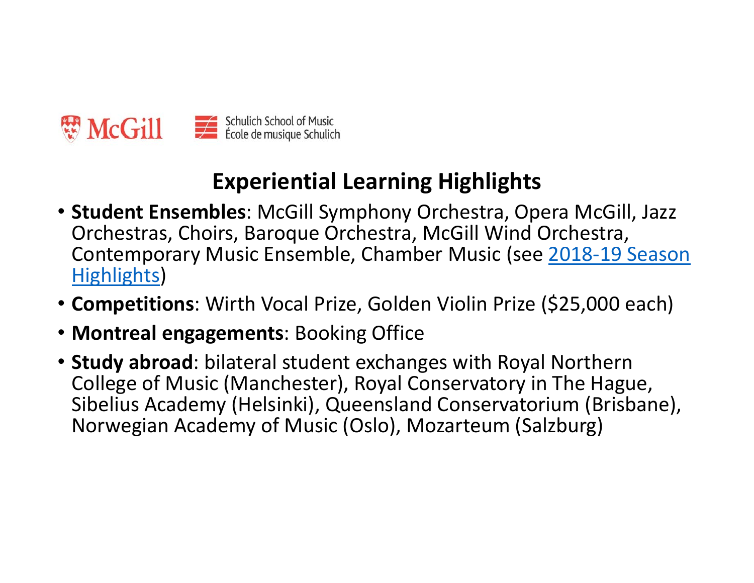

## **Experiential Learning Highlights**

- **Student Ensembles**: McGill Symphony Orchestra, Opera McGill, Jazz Orchestras, Choirs, Baroque Orchestra, McGill Wind Orchestra, Contemporary Music Ensemble, Chamber Music (see 2018‐19 Season Highlights)
- **Competitions**: Wirth Vocal Prize, Golden Violin Prize (\$25,000 each)
- **Montreal engagements**: Booking Office
- **Study abroad**: bilateral student exchanges with Royal Northern College of Music (Manchester), Royal Conservatory in The Hague, Sibelius Academy (Helsinki), Queensland Conservatorium (Brisbane), Norwegian Academy of Music (Oslo), Mozarteum (Salzburg)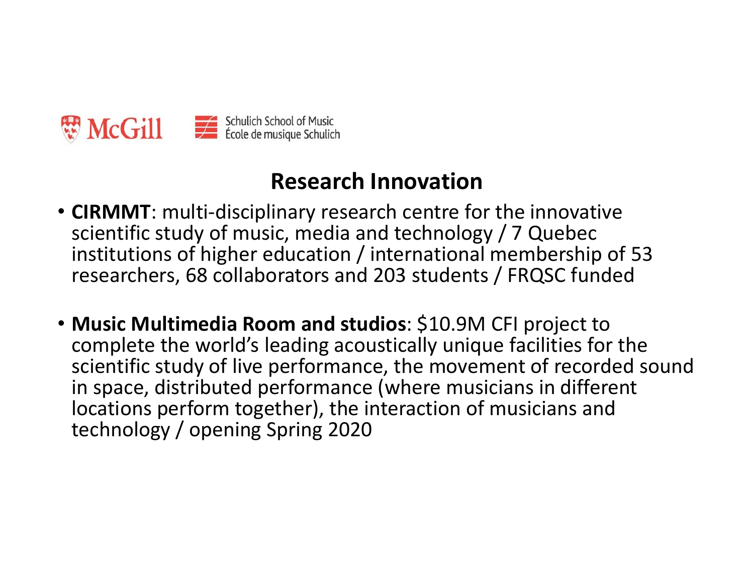

#### **Research Innovation**

- **CIRMMT**: multi‐disciplinary research centre for the innovative scientific study of music, media and technology / 7 Quebec institutions of higher education / international membership of 53 researchers, 68 collaborators and 203 students / FRQSC funded
- **Music Multimedia Room and studios**: \$10.9M CFI project to complete the world's leading acoustically unique facilities for the scientific study of live performance, the movement of recorded sound in space, distributed performance (where musicians in different locations perform together), the interaction of musicians and technology / opening Spring 2020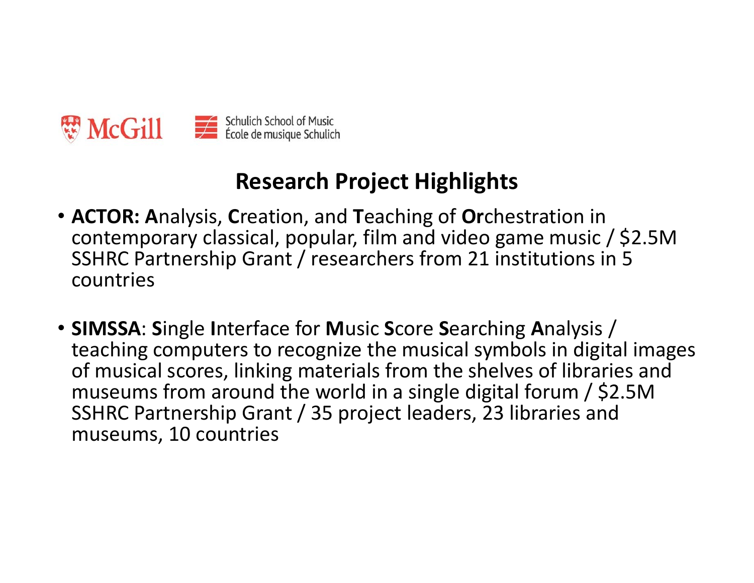

### **Research Project Highlights**

- **ACTOR: A**nalysis, **C**reation, and **T**eaching of **Or**chestration in contemporary classical, popular, film and video game music / \$2.5M SSHRC Partnership Grant / researchers from 21 institutions in 5 countries
- **SIMSSA: Single Interface for Music Score Searching Analysis /** teaching computers to recognize the musical symbols in digital images of musical scores, linking materials from the shelves of libraries and museums from around the world in a single digital forum / \$2.5M SSHRC Partnership Grant / 35 project leaders, 23 libraries and museums, 10 countries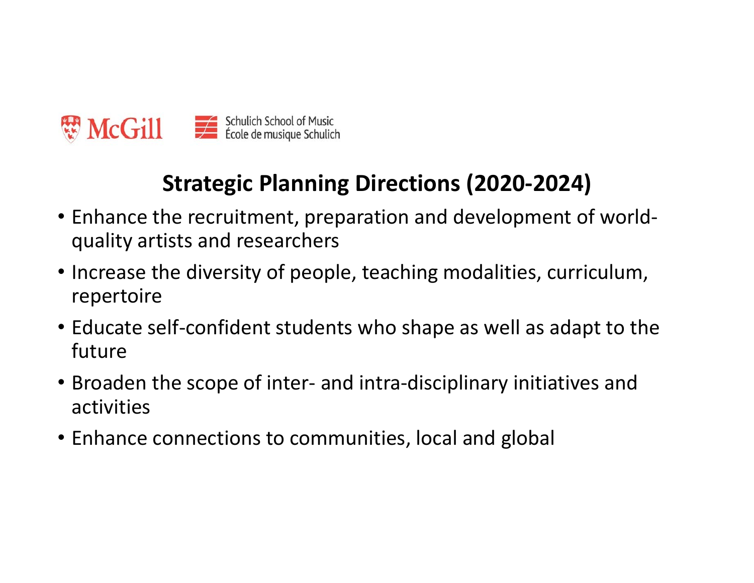

## **Strategic Planning Directions (2020‐2024)**

- Enhance the recruitment, preparation and development of world‐ quality artists and researchers
- Increase the diversity of people, teaching modalities, curriculum, repertoire
- Educate self‐confident students who shape as well as adapt to the future
- Broaden the scope of inter‐ and intra‐disciplinary initiatives and activities
- Enhance connections to communities, local and global